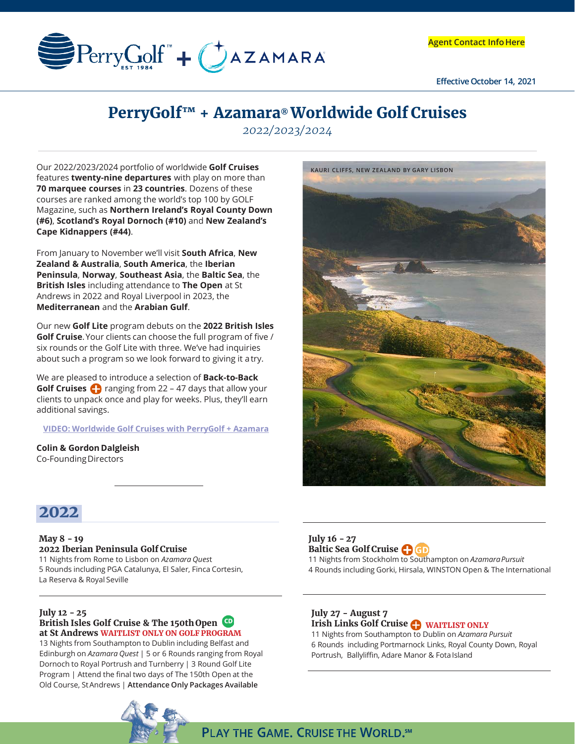

**Effective October 14, 2021**

# **PerryGolf™ + Azamara® Worldwide Golf Cruises**

*2022/2023/2024*

Our 2022/2023/2024 portfolio of worldwide **Golf Cruises**  features **twenty-nine departures** with play on more than **70 marquee courses** in **23 countries**. Dozens of these courses are ranked among the world's top 100 by GOLF Magazine, such as **Northern Ireland's Royal County Down (#6)**, **Scotland's Royal Dornoch (#10)** and **New Zealand's Cape Kidnappers (#44)**.

From January to November we'll visit **South Africa**, **New Zealand & Australia**, **South America**, the **Iberian Peninsula**, **Norway**, **Southeast Asia**, the **Baltic Sea**, the **British Isles** including attendance to **The Open** at St Andrews in 2022 and Royal Liverpool in 2023, the **Mediterranean** and the **Arabian Gulf**.

Our new **Golf Lite** program debuts on the **2022 British Isles Golf Cruise**.Your clients can choose the full program of five / six rounds or the Golf Lite with three. We've had inquiries about such a program so we look forward to giving it atry.

We are pleased to introduce a selection of **Back-to-Back Golf Cruises P** ranging from 22 – 47 days that allow your clients to unpack once and play for weeks. Plus, they'll earn additional savings.

**[VIDEO: Worldwide Golf Cruises with PerryGolf + Azamara](https://vimeo.com/589350855)**

**Colin & Gordon Dalgleish** Co-FoundingDirectors



# **2022**

#### **May 8 - 19 2022 Iberian Peninsula Golf Cruise** 11 Nights from Rome to Lisbon on *Azamara Ques*t 5 Rounds including PGA Catalunya, El Saler, Finca Cortesin, La Reserva & Royal Seville

#### **July 12 - 25 British Isles Golf Cruise & The 150thOpen at St Andrews WAITLIST ONLY ON GOLF PROGRAM**

13 Nights from Southampton to Dublin including Belfast and Edinburgh on *Azamara Quest* | 5 or 6 Rounds ranging from Royal Dornoch to Royal Portrush and Turnberry | 3 Round Golf Lite Program | Attend the final two days of The 150th Open at the Old Course, StAndrews | **Attendance Only Packages Available**



## **July 16 - 27 Baltic Sea Golf Cruise**

11 Nights from Stockholm to Southampton on *AzamaraPursuit* 4 Rounds including Gorki, Hirsala, WINSTON Open & The International

# **July 27 - August 7**

**PLAY THE GAME. CRUISE THE WORLD. SM** 

**Irish Links Golf Cruise WAITLIST ONLY** 

11 Nights from Southampton to Dublin on *Azamara Pursuit* 6 Rounds including Portmarnock Links, Royal County Down, Royal Portrush, Ballyliffin, Adare Manor & Fota Island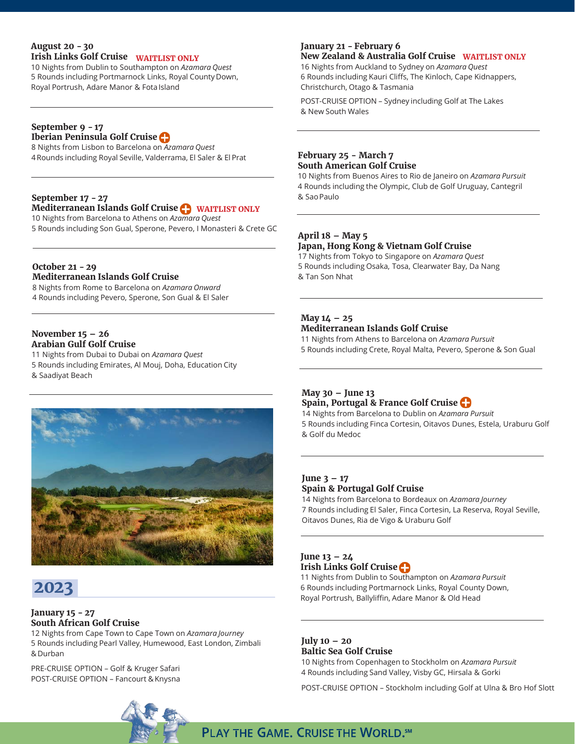#### **August 20 - 30 Irish Links Golf Cruise**

10 Nights from Dublin to Southampton on *Azamara Quest* 5 Rounds including Portmarnock Links, Royal County Down, Royal Portrush, Adare Manor & FotaIsland

#### **September 9 - 17 Iberian Peninsula Golf Cruise**

8 Nights from Lisbon to Barcelona on *Azamara Quest* 4Rounds including Royal Seville, Valderrama, El Saler & El Prat

# **September 17 - 27**

# **Mediterranean Islands Golf Cruise WAITLIST ONLY**

10 Nights from Barcelona to Athens on *Azamara Quest* 5 Rounds including Son Gual, Sperone, Pevero, I Monasteri & Crete GC

#### **October 21 - 29 Mediterranean Islands Golf Cruise**

8 Nights from Rome to Barcelona on *Azamara Onward* 4 Rounds including Pevero, Sperone, Son Gual & El Saler

#### **November 15 – 26 Arabian Gulf Golf Cruise**

11 Nights from Dubai to Dubai on *Azamara Quest* 5 Rounds including Emirates, Al Mouj, Doha, Education City & Saadiyat Beach



# **2023**

#### **January 15 - 27 South African Golf Cruise**

12 Nights from Cape Town to Cape Town on *Azamara Journey* 5 Rounds including Pearl Valley, Humewood, East London, Zimbali &Durban

PRE-CRUISE OPTION – Golf & Kruger Safari POST-CRUISE OPTION – Fancourt & Knysna



## **January 21 - February 6**

## **New Zealand & Australia Golf Cruise WAITLIST ONLY WAITLIST ONLY**

16 Nights from Auckland to Sydney on *Azamara Quest* 6 Rounds including Kauri Cliffs, The Kinloch, Cape Kidnappers, Christchurch, Otago & Tasmania

POST-CRUISE OPTION – Sydney including Golf at The Lakes & New South Wales

#### **February 25 - March 7 South American Golf Cruise**

10 Nights from Buenos Aires to Rio de Janeiro on *Azamara Pursuit*  4 Rounds including the Olympic, Club de Golf Uruguay, Cantegril & SaoPaulo

#### **April 18 – May 5 Japan, Hong Kong & Vietnam Golf Cruise**

17 Nights from Tokyo to Singapore on *Azamara Quest* 5 Rounds including Osaka, Tosa, Clearwater Bay, Da Nang & Tan Son Nhat

# **May 14 – 25**

#### **Mediterranean Islands Golf Cruise**

11 Nights from Athens to Barcelona on *Azamara Pursuit*  5 Rounds including Crete, Royal Malta, Pevero, Sperone & Son Gual

### **May 30 – June 13 Spain, Portugal & France Golf Cruise**

14 Nights from Barcelona to Dublin on *Azamara Pursuit*  5 Rounds including Finca Cortesin, Oitavos Dunes, Estela, Uraburu Golf & Golf du Medoc

## **June 3 – 17 Spain & Portugal Golf Cruise**

14 Nights from Barcelona to Bordeaux on *Azamara Journey* 7 Rounds including El Saler, Finca Cortesin, La Reserva, Royal Seville, Oitavos Dunes, Ria de Vigo & Uraburu Golf

# **June 13 – 24 Irish Links Golf Cruise**

11 Nights from Dublin to Southampton on *Azamara Pursuit*  6 Rounds including Portmarnock Links, Royal County Down, Royal Portrush, Ballyliffin, Adare Manor & Old Head

# **July 10 – 20 Baltic Sea Golf Cruise**

10 Nights from Copenhagen to Stockholm on *Azamara Pursuit*  4 Rounds including Sand Valley, Visby GC, Hirsala & Gorki

POST-CRUISE OPTION – Stockholm including Golf at Ulna & Bro Hof Slott

**PLAY THE GAME. CRUISE THE WORLD. SM**